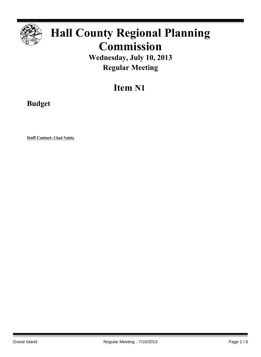

## **Hall County Regional Planning Commission**

**Wednesday, July 10, 2013 Regular Meeting**

## **Item N1**

**Budget**

**Staff Contact: Chad Nabity**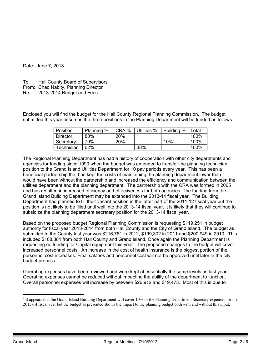Date: June 7, 2013

- To: Hall County Board of Supervisors
- From: Chad Nabity, Planning Director
- Re: 2013-2014 Budget and Fees

Enclosed you will find the budget for the Hall County Regional Planning Commission. The budget submitted this year assumes the three positions in the Planning Department will be funded as follows:

| <b>Position</b> | Planning % | CRA % | Utilities % | Building %          | Total |
|-----------------|------------|-------|-------------|---------------------|-------|
| Director        | 80%        | 20%   |             |                     | 100%  |
| Secretary       | 70%        | 20%   |             | $10\%$ <sup>1</sup> | 100%  |
| Technician      | 62%        |       | 38%         |                     | 100%  |

The Regional Planning Department has had a history of cooperation with other city departments and agencies for funding since 1990 when the budget was amended to transfer the planning technician position to the Grand Island Utilities Department for 10 pay periods every year. This has been a beneficial partnership that has kept the costs of maintaining the planning department lower than it would have been without the partnership and increased the efficiency and communication between the utilities department and the planning department. The partnership with the CRA was formed in 2005 and has resulted in increased efficiency and effectiveness for both agencies. The funding from the Grand Island Building Department may be extended into the 2013-14 fiscal year. The Building Department had planned to fill their vacant position in the latter part of the 2011-12 fiscal year but the position is not likely to be filled until well into the 2013-14 fiscal year, it is likely that they will continue to subsidize the planning department secretary position for the 2013-14 fiscal year.

Based on the proposed budget Regional Planning Commission is requesting \$119,251 in budget authority for fiscal year 2013-2014 from both Hall County and the City of Grand Island. The budget as submitted to the County last year was \$216,761 in 2012, \$199,302 in 2011 and \$200,949 in 2010. This included \$108,381 from both Hall County and Grand Island. Once again the Planning Department is requesting no funding for Capital equipment this year. The proposed changes to the budget will cover increased personnel costs. An increase in the cost of health insurance is the biggest portion of the personnel cost increases. Final salaries and personnel cost will not be approved until later in the city budget process.

Operating expenses have been reviewed and were kept at essentially the same levels as last year. Operating expenses cannot be reduced without impacting the ability of the department to function. Overall personnel expenses will increase by between \$26,912 and \$19,473. Most of this is due to

<sup>1</sup> It appears that the Grand Island Building Department will cover 10% of the Planning Department Secretary expenses for the 2013-14 fiscal year but the budget as presented shows the impact to the planning budget both with and without this input.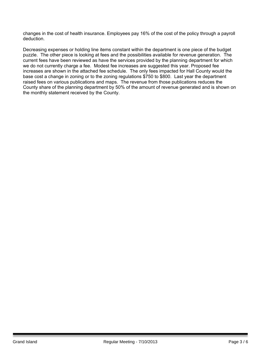changes in the cost of health insurance. Employees pay 16% of the cost of the policy through a payroll deduction.

Decreasing expenses or holding line items constant within the department is one piece of the budget puzzle. The other piece is looking at fees and the possibilities available for revenue generation. The current fees have been reviewed as have the services provided by the planning department for which we do not currently charge a fee. Modest fee increases are suggested this year. Proposed fee increases are shown in the attached fee schedule. The only fees impacted for Hall County would the base cost a change in zoning or to the zoning regulations \$750 to \$800. Last year the department raised fees on various publications and maps. The revenue from those publications reduces the County share of the planning department by 50% of the amount of revenue generated and is shown on the monthly statement received by the County.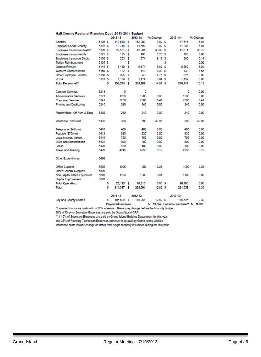|  | Hall County Regional Planning Dept. 2013-2014 Budget |
|--|------------------------------------------------------|
|  |                                                      |

|                                 |         |    | 2012-13                   |     | 2013-14 | % Change   |   | 2013-14**                     | % Change |
|---------------------------------|---------|----|---------------------------|-----|---------|------------|---|-------------------------------|----------|
| <b>Salaries</b>                 | 5105 S  |    | 140,510                   | s   | 152,909 | 8.82 \$    |   | 147.544                       | 5.01     |
| <b>Employer Social Security</b> | 5115 S  |    | 10.749                    | -S  | 11,697  | 8.82 \$    |   | 11,287                        | 5.01     |
| Employee Insurance-Health*      | 5120 \$ |    | 29,551                    | s   | 42.281  | 43.08 \$   |   | 41,011                        | 38.78    |
| Employee Insurance-Life         | 5125 \$ |    | 185                       | s   | 195     | 5.25S      |   | 185                           | 0.00     |
| Employee Insurance-Disab.       | 5130 S  |    | 253                       | s   | 274     | 8.19S      |   | 266                           | 5.14     |
| <b>Tuition Reimbursment</b>     | 5135 S  |    | ٠                         | s   | ÷       |            | s | ÷                             | 0.00     |
| <b>General Pension</b>          | 5145 S  |    | 8,430                     | s   | 9.174   | 8.82 \$    |   | 8,852                         | 5.01     |
| <b>Workers Compensation</b>     | 5150 \$ |    | 132                       | s   | 143     | 8.33 \$    |   | 138                           | 4.55     |
| <b>Other Employee Benefits</b>  | 5160 \$ |    | 325                       | s   | 340     | 4.75S      |   | 325                           | 0.00     |
| <b>VEBA</b>                     | 5161 \$ |    | 1.139                     | - 5 | 1.174   | 3.04S      |   | 1.139                         | 0.00     |
| <b>Total Personnel**</b>        |         | \$ | 191,274 \$                |     | 218,186 | $14.07$ \$ |   | 210,747                       | 10.18    |
| <b>Contract Services</b>        | 5213    |    | ٥                         |     | ٥       |            |   | o                             | 0.00     |
| <b>Administrative Services</b>  | 5221    |    | 1200                      |     | 1200    | 0.00       |   | 1200                          | 0.00     |
| <b>Computer Services</b>        | 5241    |    | 7768                      |     | 7800    | 0.41       |   | 7800                          | 0.41     |
| <b>Printing and Duplicating</b> | 5245    |    | 240                       |     | 240     | 0.00       |   | 240                           | 0.00     |
| Repair/Maint.-Off Furn & Equip  | 5330    |    | 240                       |     | 240     | 0.00       |   | 240                           | 0.00     |
| <b>Insurance Premiums</b>       | 5405    |    | 350                       |     | 500     | 42.86      |   | 500                           | 42.86    |
| Telephone (\$46/mo)             | 5410    |    | 400                       |     | 400     | 0.00       |   | 400                           | 0.00     |
| Postage (\$70/mo)               | 5413    |    | 935                       |     | 935     | 0.00       |   | 935                           | 0.00     |
| Legal Notices/ Advert.          | 5419    |    | 750                       |     | 750     | 0.00       |   | 750                           | 0.00     |
| Dues and Subscriptions          | 5422    |    | 800                       |     | 800     | 0.00       |   | 800                           | 0.00     |
| <b>Books</b>                    | 5425    |    | 100                       |     | 100     | 0.00       |   | 100                           | 0.00     |
| <b>Travel and Training</b>      | 5428    |    | 4245                      |     | 4250    | 0.12       |   | 4250                          | 0.12     |
| Other Expenditures              | 5490    |    |                           |     |         |            |   |                               |          |
| <b>Office Supplies</b>          | 5505    |    | 1905                      |     | 1900    | $-0.26$    |   | 1900                          | $-0.26$  |
| <b>Other General Supplies</b>   | 5590    |    |                           |     |         |            |   |                               |          |
| Non Capital Office Equipment    | 5540    |    | 1190                      |     | 1200    | 0.84       |   | 1190                          | 0.00     |
| Capital Improvement             | 5620    |    |                           |     |         |            |   |                               |          |
| <b>Total Operating</b>          |         | \$ | $20,123$ \$               |     | 20,315  | 0.95S      |   | 20.305                        | 0.90     |
| <b>Total</b>                    |         | \$ | 211,397 \$                |     | 238,501 | $12.82$ \$ |   | 231.052                       | 9.30     |
|                                 |         |    | 2011-12                   |     | 2012-13 |            |   | 2012-13**                     |          |
| <b>City and County Shares</b>   |         | s  | 105,699 \$                |     | 119,251 | 12.82S     |   | 115,526                       | 9.30     |
|                                 |         |    | <b>Projected Increase</b> |     |         | \$.        |   | 13.552 Possible Increase** \$ | 9,828    |

"Expected insurance costs with a 22% increase. These may change before the final city budget.

20% of Director Secretary Expenses are paid by Grand Island CRA<br>20% of Director Secretary Expenses are paid by Grand Island CRA<br>\*\* If 10% of Secretary Expenses are paid by Grand Island Building Department for this year

and 38% of Planning Technician Expenses continue to be paid by Grand Island Utilities

Insurance costs include change of status from single to family insurance during the last year.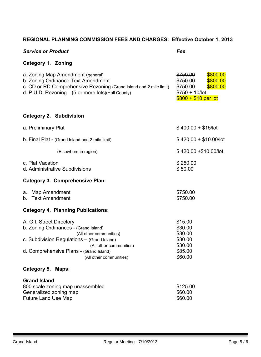## **REGIONAL PLANNING COMMISSION FEES AND CHARGES: Effective October 1, 2013**

| <b>Service or Product</b>                                                                                                                                                                                                                    | Fee                                                                                                             |  |  |  |
|----------------------------------------------------------------------------------------------------------------------------------------------------------------------------------------------------------------------------------------------|-----------------------------------------------------------------------------------------------------------------|--|--|--|
| <b>Category 1. Zoning</b>                                                                                                                                                                                                                    |                                                                                                                 |  |  |  |
| a. Zoning Map Amendment (general)<br>b. Zoning Ordinance Text Amendment<br>c. CD or RD Comprehensive Rezoning (Grand Island and 2 mile limit)<br>d. P.U.D. Rezoning (5 or more lots) (Hall County)                                           | \$800.00<br>\$750.00<br>\$750.00<br>\$800.00<br>\$750.00<br>\$800.00<br>$$750 + 10/101$<br>$$800 + $10$ per lot |  |  |  |
| <b>Category 2. Subdivision</b>                                                                                                                                                                                                               |                                                                                                                 |  |  |  |
| a. Preliminary Plat                                                                                                                                                                                                                          | $$400.00 + $15/$ lot                                                                                            |  |  |  |
| b. Final Plat - (Grand Island and 2 mile limit)                                                                                                                                                                                              | $$420.00 + $10.00/$ lot                                                                                         |  |  |  |
| (Elsewhere in region)                                                                                                                                                                                                                        | \$420.00 + \$10.00/lot                                                                                          |  |  |  |
| c. Plat Vacation<br>d. Administrative Subdivisions                                                                                                                                                                                           | \$250.00<br>\$50.00                                                                                             |  |  |  |
| <b>Category 3. Comprehensive Plan:</b>                                                                                                                                                                                                       |                                                                                                                 |  |  |  |
| a. Map Amendment<br>b. Text Amendment                                                                                                                                                                                                        | \$750.00<br>\$750.00                                                                                            |  |  |  |
| <b>Category 4. Planning Publications:</b>                                                                                                                                                                                                    |                                                                                                                 |  |  |  |
| A. G.I. Street Directory<br>b. Zoning Ordinances - (Grand Island)<br>(All other communities)<br>c. Subdivision Regulations - (Grand Island)<br>(All other communities)<br>d. Comprehensive Plans - (Grand Island)<br>(All other communities) | \$15.00<br>\$30.00<br>\$30.00<br>\$30.00<br>\$30.00<br>\$85.00<br>\$60.00                                       |  |  |  |
| Category 5. Maps:                                                                                                                                                                                                                            |                                                                                                                 |  |  |  |
| <b>Grand Island</b><br>800 scale zoning map unassembled<br>Generalized zoning map<br><b>Future Land Use Map</b>                                                                                                                              | \$125.00<br>\$60.00<br>\$60.00                                                                                  |  |  |  |